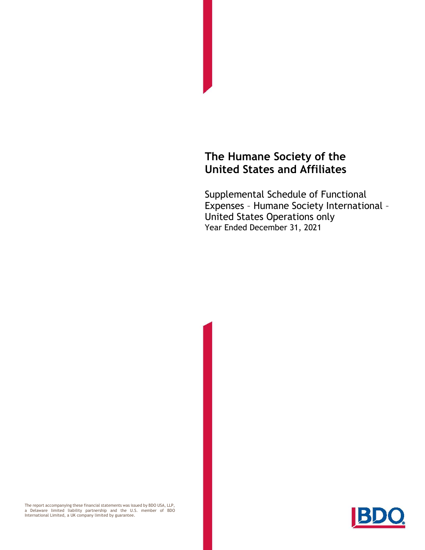## **The Humane Society of the United States and Affiliates**

Supplemental Schedule of Functional Expenses – Humane Society International – United States Operations only Year Ended December 31, 2021

The report accompanying these financial statements was issued by BDO USA, LLP,<br>a Delaware limited liability partnership and the U.S. member of BDO<br>International Limited, a UK company limited by g

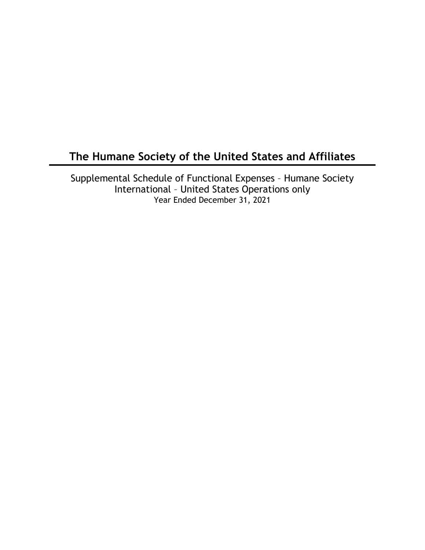# **The Humane Society of the United States and Affiliates**

Supplemental Schedule of Functional Expenses – Humane Society International – United States Operations only Year Ended December 31, 2021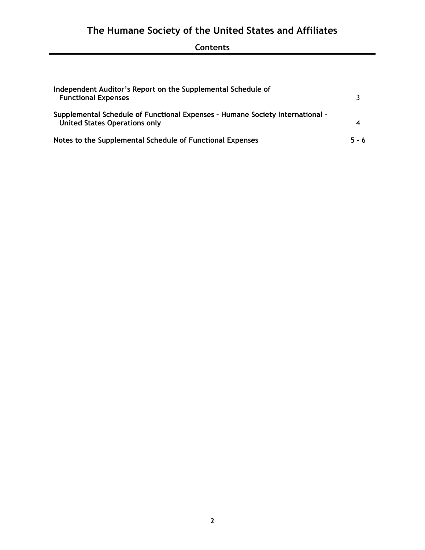# **The Humane Society of the United States and Affiliates**

### **Contents**

| Independent Auditor's Report on the Supplemental Schedule of<br><b>Functional Expenses</b>                            |       |
|-----------------------------------------------------------------------------------------------------------------------|-------|
| Supplemental Schedule of Functional Expenses - Humane Society International -<br><b>United States Operations only</b> |       |
| Notes to the Supplemental Schedule of Functional Expenses                                                             | 5 - 6 |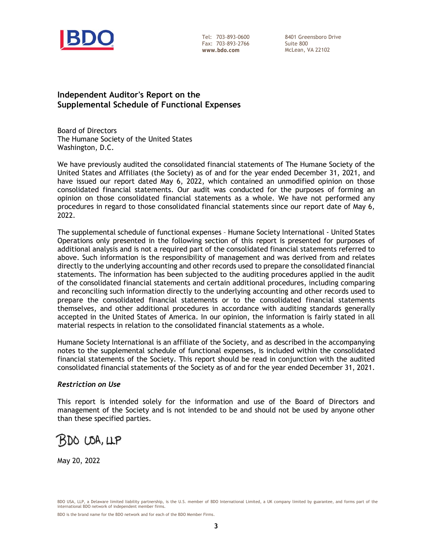

Tel: 703-893-0600 Fax: 703-893-2766 **www.bdo.com** 

8401 Greensboro Drive Suite 800 McLean, VA 22102

#### **Independent Auditor's Report on the Supplemental Schedule of Functional Expenses**

Board of Directors The Humane Society of the United States Washington, D.C.

We have previously audited the consolidated financial statements of The Humane Society of the United States and Affiliates (the Society) as of and for the year ended December 31, 2021, and have issued our report dated May 6, 2022, which contained an unmodified opinion on those consolidated financial statements. Our audit was conducted for the purposes of forming an opinion on those consolidated financial statements as a whole. We have not performed any procedures in regard to those consolidated financial statements since our report date of May 6, 2022.

The supplemental schedule of functional expenses – Humane Society International - United States Operations only presented in the following section of this report is presented for purposes of additional analysis and is not a required part of the consolidated financial statements referred to above. Such information is the responsibility of management and was derived from and relates directly to the underlying accounting and other records used to prepare the consolidated financial statements. The information has been subjected to the auditing procedures applied in the audit of the consolidated financial statements and certain additional procedures, including comparing and reconciling such information directly to the underlying accounting and other records used to prepare the consolidated financial statements or to the consolidated financial statements themselves, and other additional procedures in accordance with auditing standards generally accepted in the United States of America. In our opinion, the information is fairly stated in all material respects in relation to the consolidated financial statements as a whole.

Humane Society International is an affiliate of the Society, and as described in the accompanying notes to the supplemental schedule of functional expenses, is included within the consolidated financial statements of the Society. This report should be read in conjunction with the audited consolidated financial statements of the Society as of and for the year ended December 31, 2021.

#### *Restriction on Use*

This report is intended solely for the information and use of the Board of Directors and management of the Society and is not intended to be and should not be used by anyone other than these specified parties.



May 20, 2022

BDO USA, LLP, a Delaware limited liability partnership, is the U.S. member of BDO International Limited, a UK company limited by guarantee, and forms part of the international BDO network of independent member firms.

BDO is the brand name for the BDO network and for each of the BDO Member Firms.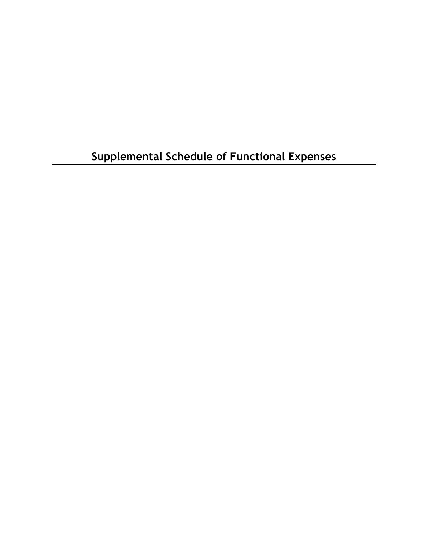**Supplemental Schedule of Functional Expenses**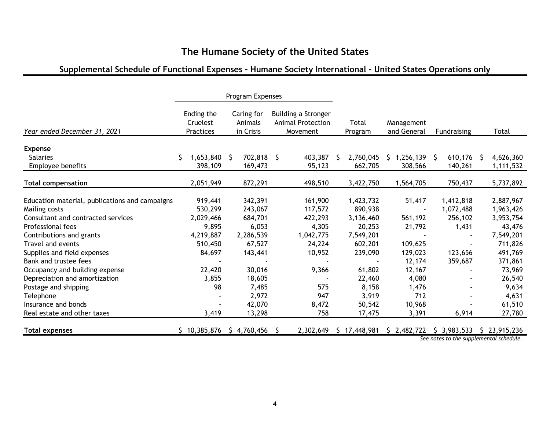### **The Humane Society of the United States**

### **Supplemental Schedule of Functional Expenses - Humane Society International - United States Operations only**

|                                                |                                     | Program Expenses                   |                                                             |                  |                           |                |                                                         |
|------------------------------------------------|-------------------------------------|------------------------------------|-------------------------------------------------------------|------------------|---------------------------|----------------|---------------------------------------------------------|
| Year ended December 31, 2021                   | Ending the<br>Cruelest<br>Practices | Caring for<br>Animals<br>in Crisis | Building a Stronger<br><b>Animal Protection</b><br>Movement | Total<br>Program | Management<br>and General | Fundraising    | Total                                                   |
| <b>Expense</b>                                 |                                     |                                    |                                                             |                  |                           |                |                                                         |
| <b>Salaries</b>                                | \$<br>1,653,840                     | 702,818 \$<br>-S                   | 403,387                                                     | 2,760,045<br>S.  | \$1,256,139               | 610,176<br>S.  | 4,626,360<br>S.                                         |
| Employee benefits                              | 398,109                             | 169,473                            | 95,123                                                      | 662,705          | 308,566                   | 140,261        | 1,111,532                                               |
|                                                |                                     |                                    |                                                             |                  |                           |                |                                                         |
| <b>Total compensation</b>                      | 2,051,949                           | 872,291                            | 498,510                                                     | 3,422,750        | 1,564,705                 | 750,437        | 5,737,892                                               |
| Education material, publications and campaigns | 919,441                             | 342,391                            | 161,900                                                     | 1,423,732        | 51,417                    | 1,412,818      | 2,887,967                                               |
| Mailing costs                                  | 530,299                             | 243,067                            | 117,572                                                     | 890,938          |                           | 1,072,488      | 1,963,426                                               |
| Consultant and contracted services             | 2,029,466                           | 684,701                            | 422,293                                                     | 3,136,460        | 561,192                   | 256,102        | 3,953,754                                               |
| Professional fees                              | 9,895                               | 6,053                              | 4,305                                                       | 20,253           | 21,792                    | 1,431          | 43,476                                                  |
| Contributions and grants                       | 4,219,887                           | 2,286,539                          | 1,042,775                                                   | 7,549,201        |                           |                | 7,549,201                                               |
| Travel and events                              | 510,450                             | 67,527                             | 24,224                                                      | 602,201          | 109,625                   |                | 711,826                                                 |
| Supplies and field expenses                    | 84,697                              | 143,441                            | 10,952                                                      | 239,090          | 129,023                   | 123,656        | 491,769                                                 |
| Bank and trustee fees                          |                                     |                                    |                                                             |                  | 12,174                    | 359,687        | 371,861                                                 |
| Occupancy and building expense                 | 22,420                              | 30,016                             | 9,366                                                       | 61,802           | 12,167                    |                | 73,969                                                  |
| Depreciation and amortization                  | 3,855                               | 18,605                             |                                                             | 22,460           | 4,080                     |                | 26,540                                                  |
| Postage and shipping                           | 98                                  | 7,485                              | 575                                                         | 8,158            | 1,476                     |                | 9,634                                                   |
| Telephone                                      |                                     | 2,972                              | 947                                                         | 3,919            | 712                       |                | 4,631                                                   |
| Insurance and bonds                            |                                     | 42,070                             | 8,472                                                       | 50,542           | 10,968                    |                | 61,510                                                  |
| Real estate and other taxes                    | 3,419                               | 13,298                             | 758                                                         | 17,475           | 3,391                     | 6,914          | 27,780                                                  |
|                                                |                                     |                                    |                                                             |                  |                           |                |                                                         |
| <b>Total expenses</b>                          | \$10,385,876                        | \$4,760,456                        | 2,302,649                                                   | \$17,448,981     | \$2,482,722               | 5, 3, 983, 533 | \$23,915,236<br>See notes to the supplemental schedule. |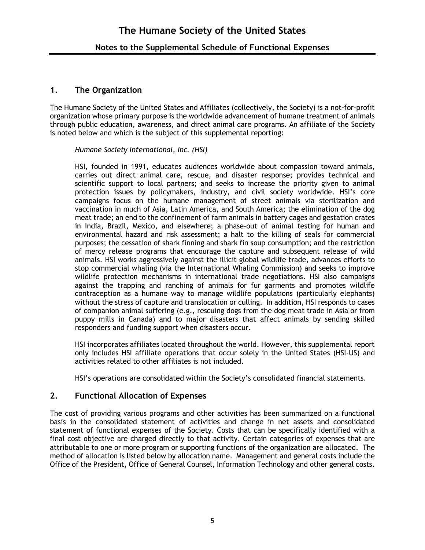### **1. The Organization**

The Humane Society of the United States and Affiliates (collectively, the Society) is a not-for-profit organization whose primary purpose is the worldwide advancement of humane treatment of animals through public education, awareness, and direct animal care programs. An affiliate of the Society is noted below and which is the subject of this supplemental reporting:

*Humane Society International, Inc. (HSI)*

HSI, founded in 1991, educates audiences worldwide about compassion toward animals, carries out direct animal care, rescue, and disaster response; provides technical and scientific support to local partners; and seeks to increase the priority given to animal protection issues by policymakers, industry, and civil society worldwide. HSI's core campaigns focus on the humane management of street animals via sterilization and vaccination in much of Asia, Latin America, and South America; the elimination of the dog meat trade; an end to the confinement of farm animals in battery cages and gestation crates in India, Brazil, Mexico, and elsewhere; a phase-out of animal testing for human and environmental hazard and risk assessment; a halt to the killing of seals for commercial purposes; the cessation of shark finning and shark fin soup consumption; and the restriction of mercy release programs that encourage the capture and subsequent release of wild animals. HSI works aggressively against the illicit global wildlife trade, advances efforts to stop commercial whaling (via the International Whaling Commission) and seeks to improve wildlife protection mechanisms in international trade negotiations. HSI also campaigns against the trapping and ranching of animals for fur garments and promotes wildlife contraception as a humane way to manage wildlife populations (particularly elephants) without the stress of capture and translocation or culling. In addition, HSI responds to cases of companion animal suffering (e.g., rescuing dogs from the dog meat trade in Asia or from puppy mills in Canada) and to major disasters that affect animals by sending skilled responders and funding support when disasters occur.

HSI incorporates affiliates located throughout the world. However, this supplemental report only includes HSI affiliate operations that occur solely in the United States (HSI-US) and activities related to other affiliates is not included.

HSI's operations are consolidated within the Society's consolidated financial statements.

#### **2. Functional Allocation of Expenses**

The cost of providing various programs and other activities has been summarized on a functional basis in the consolidated statement of activities and change in net assets and consolidated statement of functional expenses of the Society. Costs that can be specifically identified with a final cost objective are charged directly to that activity. Certain categories of expenses that are attributable to one or more program or supporting functions of the organization are allocated. The method of allocation is listed below by allocation name. Management and general costs include the Office of the President, Office of General Counsel, Information Technology and other general costs.